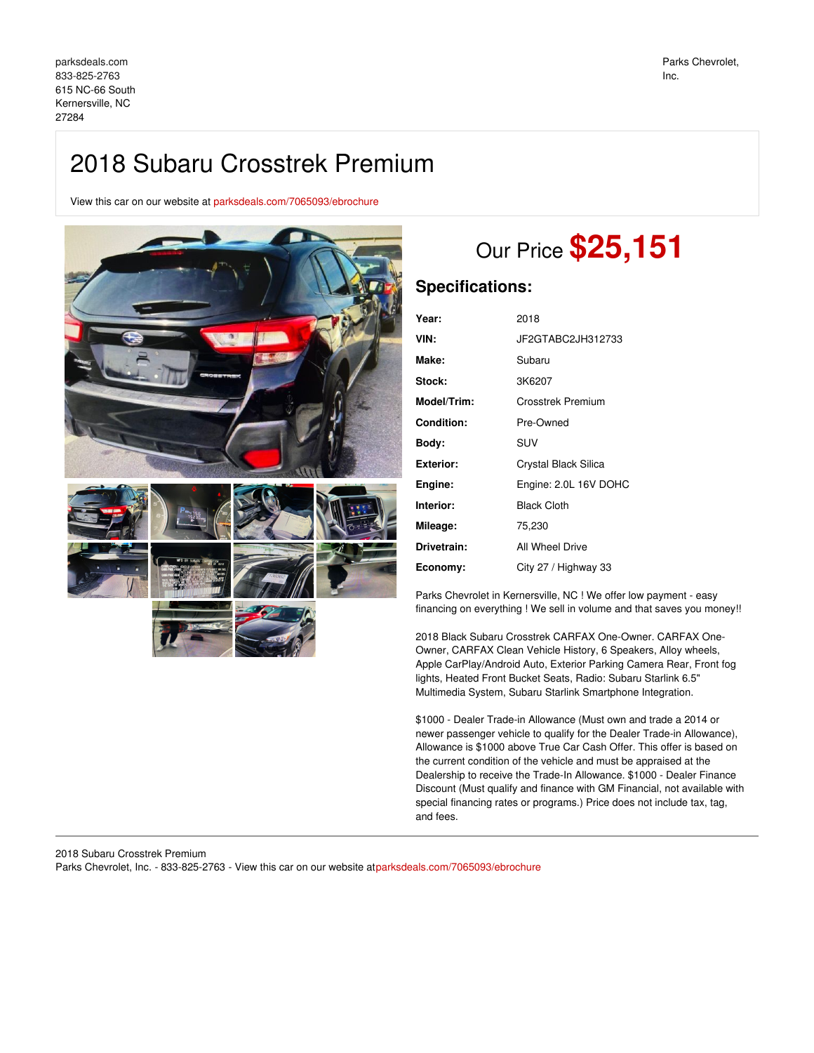## 2018 Subaru Crosstrek Premium

View this car on our website at [parksdeals.com/7065093/ebrochure](file:///7065093/ebrochure)



# Our Price **\$25,151**

## **Specifications:**

| Year:              | 2018                  |
|--------------------|-----------------------|
| VIN:               | JF2GTABC2JH312733     |
| Make:              | Subaru                |
| Stock:             | 3K6207                |
| <b>Model/Trim:</b> | Crosstrek Premium     |
| Condition:         | Pre-Owned             |
| Body:              | SUV                   |
| Exterior:          | Crystal Black Silica  |
| Engine:            | Engine: 2.0L 16V DOHC |
| Interior:          | <b>Black Cloth</b>    |
| Mileage:           | 75,230                |
| Drivetrain:        | All Wheel Drive       |
| Economy:           | City 27 / Highway 33  |

Parks Chevrolet in Kernersville, NC ! We offer low payment - easy financing on everything ! We sell in volume and that saves you money!!

2018 Black Subaru Crosstrek CARFAX One-Owner. CARFAX One-Owner, CARFAX Clean Vehicle History, 6 Speakers, Alloy wheels, Apple CarPlay/Android Auto, Exterior Parking Camera Rear, Front fog lights, Heated Front Bucket Seats, Radio: Subaru Starlink 6.5" Multimedia System, Subaru Starlink Smartphone Integration.

\$1000 - Dealer Trade-in Allowance (Must own and trade a 2014 or newer passenger vehicle to qualify for the Dealer Trade-in Allowance), Allowance is \$1000 above True Car Cash Offer. This offer is based on the current condition of the vehicle and must be appraised at the Dealership to receive the Trade-In Allowance. \$1000 - Dealer Finance Discount (Must qualify and finance with GM Financial, not available with special financing rates or programs.) Price does not include tax, tag, and fees.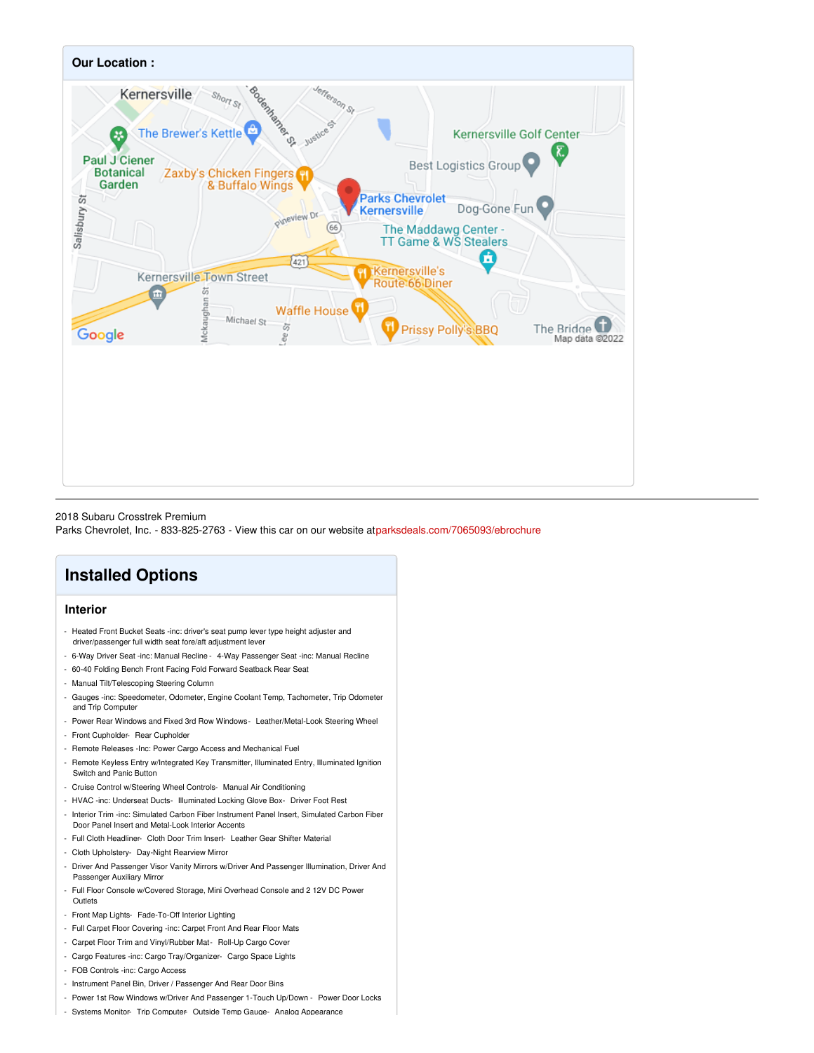

### 2018 Subaru Crosstrek Premium

Parks Chevrolet, Inc. - 833-825-2763 - View this car on our website a[tparksdeals.com/7065093/ebrochure](file:///7065093/ebrochure)

## **Installed Options**

## **Interior**

- Heated Front Bucket Seats -inc: driver's seat pump lever type height adjuster and driver/passenger full width seat fore/aft adjustment lever
- 6-Way Driver Seat -inc: Manual Recline 4-Way Passenger Seat -inc: Manual Recline
- 60-40 Folding Bench Front Facing Fold Forward Seatback Rear Seat
- Manual Tilt/Telescoping Steering Column
- Gauges -inc: Speedometer, Odometer, Engine Coolant Temp, Tachometer, Trip Odometer and Trip Computer
- Power Rear Windows and Fixed 3rd Row Windows- Leather/Metal-Look Steering Wheel
- Front Cupholder- Rear Cupholder
- Remote Releases -Inc: Power Cargo Access and Mechanical Fuel
- Remote Keyless Entry w/Integrated Key Transmitter, Illuminated Entry, Illuminated Ignition Switch and Panic Button
- Cruise Control w/Steering Wheel Controls- Manual Air Conditioning
- HVAC -inc: Underseat Ducts- Illuminated Locking Glove Box- Driver Foot Rest
- Interior Trim -inc: Simulated Carbon Fiber Instrument Panel Insert, Simulated Carbon Fiber Door Panel Insert and Metal-Look Interior Accents
- Full Cloth Headliner- Cloth Door Trim Insert- Leather Gear Shifter Material
- Cloth Upholstery- Day-Night Rearview Mirror
- Driver And Passenger Visor Vanity Mirrors w/Driver And Passenger Illumination, Driver And Passenger Auxiliary Mirror
- Full Floor Console w/Covered Storage, Mini Overhead Console and 2 12V DC Power Outlets
- Front Map Lights- Fade-To-Off Interior Lighting
- Full Carpet Floor Covering -inc: Carpet Front And Rear Floor Mats
- Carpet Floor Trim and Vinyl/Rubber Mat- Roll-Up Cargo Cover
- Cargo Features -inc: Cargo Tray/Organizer- Cargo Space Lights
- FOB Controls -inc: Cargo Access
- Instrument Panel Bin, Driver / Passenger And Rear Door Bins
- Power 1st Row Windows w/Driver And Passenger 1-Touch Up/Down Power Door Locks
- Systems Monitor- Trip Computer- Outside Temp Gauge- Analog Appearance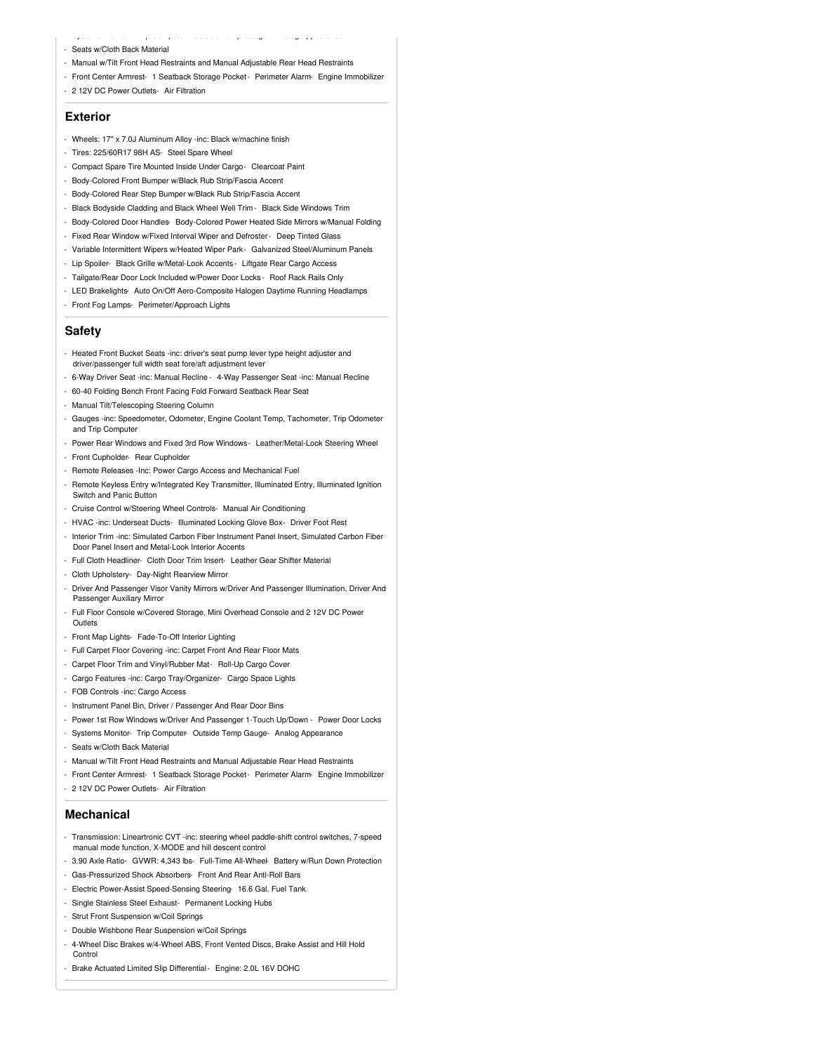- Seats w/Cloth Back Material
- Manual w/Tilt Front Head Restraints and Manual Adjustable Rear Head Restraints
- Front Center Armrest- 1 Seatback Storage Pocket Perimeter Alarm- Engine Immobilizer

- Systems Monitor- Trip Computer- Outside Temp Gauge- Analog Appearance

- 2 12V DC Power Outlets- Air Filtration

## **Exterior**

- Wheels: 17" x 7.0J Aluminum Alloy -inc: Black w/machine finish
- Tires: 225/60R17 98H AS- Steel Spare Wheel
- Compact Spare Tire Mounted Inside Under Cargo- Clearcoat Paint
- Body-Colored Front Bumper w/Black Rub Strip/Fascia Accent
- Body-Colored Rear Step Bumper w/Black Rub Strip/Fascia Accent
- Black Bodyside Cladding and Black Wheel Well Trim Black Side Windows Trim
- Body-Colored Door Handles- Body-Colored Power Heated Side Mirrors w/Manual Folding
- Fixed Rear Window w/Fixed Interval Wiper and Defroster- Deep Tinted Glass
- Variable Intermittent Wipers w/Heated Wiper Park- Galvanized Steel/Aluminum Panels
- Lip Spoiler- Black Grille w/Metal-Look Accents Liftgate Rear Cargo Access
- Tailgate/Rear Door Lock Included w/Power Door Locks Roof Rack Rails Only
- LED Brakelights- Auto On/Off Aero-Composite Halogen Daytime Running Headlamps
- Front Fog Lamps- Perimeter/Approach Lights

### **Safety**

- Heated Front Bucket Seats -inc: driver's seat pump lever type height adjuster and driver/passenger full width seat fore/aft adjustment lever
- 6-Way Driver Seat -inc: Manual Recline 4-Way Passenger Seat -inc: Manual Recline
- 60-40 Folding Bench Front Facing Fold Forward Seatback Rear Seat
- Manual Tilt/Telescoping Steering Column
- Gauges -inc: Speedometer, Odometer, Engine Coolant Temp, Tachometer, Trip Odometer and Trip Computer
- Power Rear Windows and Fixed 3rd Row Windows- Leather/Metal-Look Steering Wheel
- Front Cupholder- Rear Cupholder
- Remote Releases -Inc: Power Cargo Access and Mechanical Fuel
- Remote Keyless Entry w/Integrated Key Transmitter, Illuminated Entry, Illuminated Ignition Switch and Panic Button
- Cruise Control w/Steering Wheel Controls- Manual Air Conditioning
- HVAC -inc: Underseat Ducts- Illuminated Locking Glove Box- Driver Foot Rest
- Interior Trim -inc: Simulated Carbon Fiber Instrument Panel Insert, Simulated Carbon Fiber Door Panel Insert and Metal-Look Interior Accents
- Full Cloth Headliner- Cloth Door Trim Insert- Leather Gear Shifter Material
- Cloth Upholstery- Day-Night Rearview Mirror
- Driver And Passenger Visor Vanity Mirrors w/Driver And Passenger Illumination, Driver And Passenger Auxiliary Mirror
- Full Floor Console w/Covered Storage, Mini Overhead Console and 2 12V DC Power **Outlets**
- Front Map Lights- Fade-To-Off Interior Lighting
- Full Carpet Floor Covering -inc: Carpet Front And Rear Floor Mats
- Carpet Floor Trim and Vinyl/Rubber Mat- Roll-Up Cargo Cover
- Cargo Features -inc: Cargo Tray/Organizer- Cargo Space Lights
- FOB Controls -inc: Cargo Access
- Instrument Panel Bin, Driver / Passenger And Rear Door Bins
- Power 1st Row Windows w/Driver And Passenger 1-Touch Up/Down Power Door Locks
- Systems Monitor- Trip Computer- Outside Temp Gauge- Analog Appearance
- Seats w/Cloth Back Material
- Manual w/Tilt Front Head Restraints and Manual Adjustable Rear Head Restraints
- Front Center Armrest- 1 Seatback Storage Pocket- Perimeter Alarm- Engine Immobilizer
- 2 12V DC Power Outlets- Air Filtration

### **Mechanical**

- Transmission: Lineartronic CVT -inc: steering wheel paddle-shift control switches, 7-speed manual mode function, X-MODE and hill descent control
- 3.90 Axle Ratio- GVWR: 4,343 lbs- Full-Time All-Wheel- Battery w/Run Down Protection
- Gas-Pressurized Shock Absorbers- Front And Rear Anti-Roll Bars
- Electric Power-Assist Speed-Sensing Steering- 16.6 Gal. Fuel Tank
- Single Stainless Steel Exhaust- Permanent Locking Hubs
- Strut Front Suspension w/Coil Springs
- Double Wishbone Rear Suspension w/Coil Springs
- 4-Wheel Disc Brakes w/4-Wheel ABS, Front Vented Discs, Brake Assist and Hill Hold Control
- Brake Actuated Limited Slip Differential- Engine: 2.0L 16V DOHC